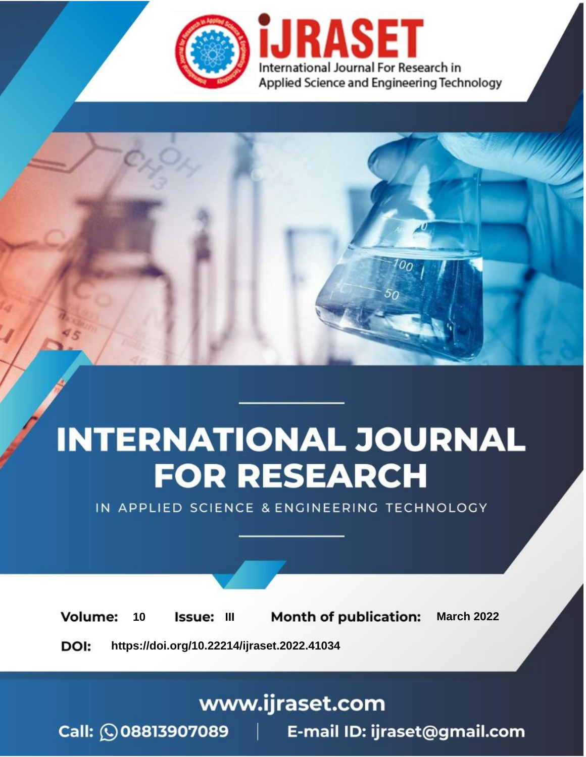

# **INTERNATIONAL JOURNAL FOR RESEARCH**

IN APPLIED SCIENCE & ENGINEERING TECHNOLOGY

**Month of publication: Volume:** 10 Issue: III **March 2022** DOI: https://doi.org/10.22214/ijraset.2022.41034

www.ijraset.com

Call: 008813907089 | E-mail ID: ijraset@gmail.com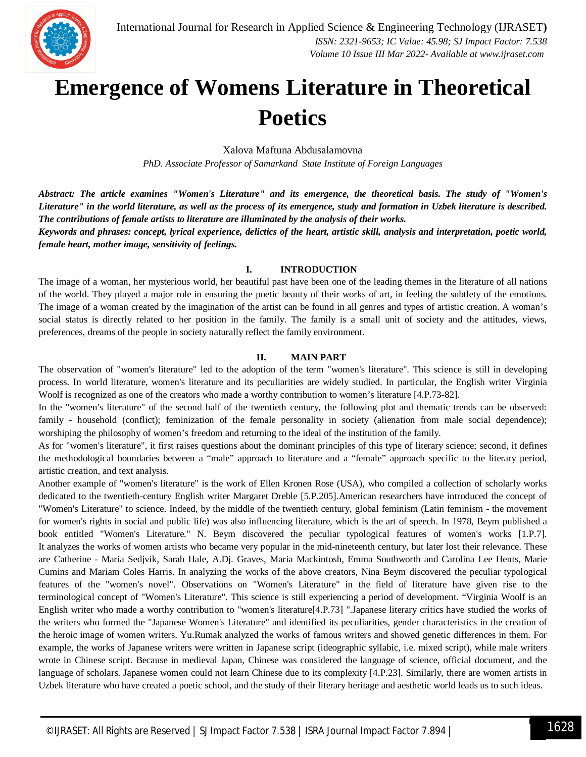

### **Emergence of Womens Literature in Theoretical Poetics**

Xalova Maftuna Abdusalamovna

*PhD. Associate Professor of Samarkand State Institute of Foreign Languages*

*Abstract: The article examines "Women's Literature" and its emergence, the theoretical basis. The study of "Women's Literature" in the world literature, as well as the process of its emergence, study and formation in Uzbek literature is described. The contributions of female artists to literature are illuminated by the analysis of their works.* 

*Keywords and phrases: concept, lyrical experience, delictics of the heart, artistic skill, analysis and interpretation, poetic world, female heart, mother image, sensitivity of feelings.*

#### **I. INTRODUCTION**

The image of a woman, her mysterious world, her beautiful past have been one of the leading themes in the literature of all nations of the world. They played a major role in ensuring the poetic beauty of their works of art, in feeling the subtlety of the emotions. The image of a woman created by the imagination of the artist can be found in all genres and types of artistic creation. A woman's social status is directly related to her position in the family. The family is a small unit of society and the attitudes, views, preferences, dreams of the people in society naturally reflect the family environment.

#### **II. MAIN PART**

The observation of "women's literature" led to the adoption of the term "women's literature". This science is still in developing process. In world literature, women's literature and its peculiarities are widely studied. In particular, the English writer Virginia Woolf is recognized as one of the creators who made a worthy contribution to women's literature [4.P.73-82].

In the "women's literature" of the second half of the twentieth century, the following plot and thematic trends can be observed: family - household (conflict); feminization of the female personality in society (alienation from male social dependence); worshiping the philosophy of women's freedom and returning to the ideal of the institution of the family.

As for "women's literature", it first raises questions about the dominant principles of this type of literary science; second, it defines the methodological boundaries between a "male" approach to literature and a "female" approach specific to the literary period, artistic creation, and text analysis.

Another example of "women's literature" is the work of Ellen Kronen Rose (USA), who compiled a collection of scholarly works dedicated to the twentieth-century English writer Margaret Dreble [5.P.205].American researchers have introduced the concept of "Women's Literature" to science. Indeed, by the middle of the twentieth century, global feminism (Latin feminism - the movement for women's rights in social and public life) was also influencing literature, which is the art of speech. In 1978, Beym published a book entitled "Women's Literature." N. Beym discovered the peculiar typological features of women's works [1.P.7]. It analyzes the works of women artists who became very popular in the mid-nineteenth century, but later lost their relevance. These are Catherine - Maria Sedjvik, Sarah Hale, A.Dj. Graves, Maria Mackintosh, Emma Southworth and Carolina Lee Hents, Marie Cumins and Mariam Coles Harris. In analyzing the works of the above creators, Nina Beym discovered the peculiar typological features of the "women's novel". Observations on "Women's Literature" in the field of literature have given rise to the terminological concept of "Women's Literature". This science is still experiencing a period of development. "Virginia Woolf is an English writer who made a worthy contribution to "women's literature[4.P.73] ".Japanese literary critics have studied the works of the writers who formed the "Japanese Women's Literature" and identified its peculiarities, gender characteristics in the creation of the heroic image of women writers. Yu.Rumak analyzed the works of famous writers and showed genetic differences in them. For example, the works of Japanese writers were written in Japanese script (ideographic syllabic, i.e. mixed script), while male writers wrote in Chinese script. Because in medieval Japan, Chinese was considered the language of science, official document, and the language of scholars. Japanese women could not learn Chinese due to its complexity [4.P.23]. Similarly, there are women artists in Uzbek literature who have created a poetic school, and the study of their literary heritage and aesthetic world leads us to such ideas.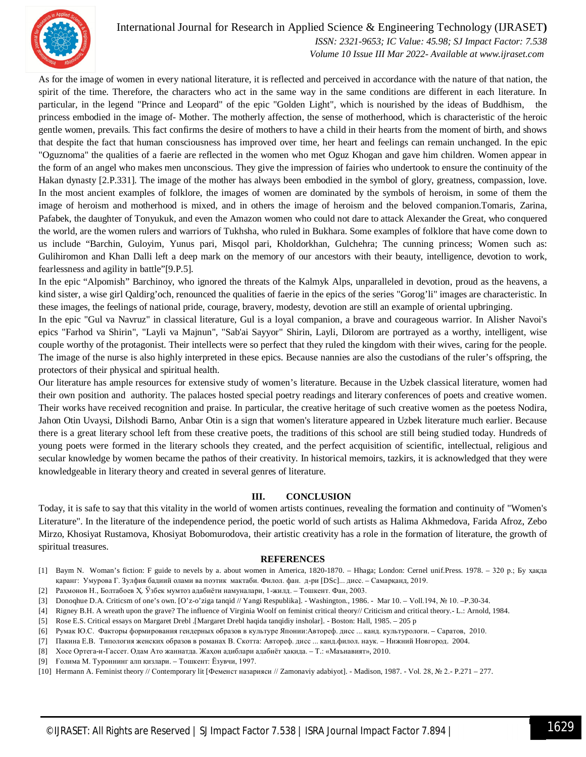

#### International Journal for Research in Applied Science & Engineering Technology (IJRASET**)**

 *ISSN: 2321-9653; IC Value: 45.98; SJ Impact Factor: 7.538 Volume 10 Issue III Mar 2022- Available at www.ijraset.com*

As for the image of women in every national literature, it is reflected and perceived in accordance with the nature of that nation, the spirit of the time. Therefore, the characters who act in the same way in the same conditions are different in each literature. In particular, in the legend "Prince and Leopard" of the epic "Golden Light", which is nourished by the ideas of Buddhism, the princess embodied in the image of- Mother. The motherly affection, the sense of motherhood, which is characteristic of the heroic gentle women, prevails. This fact confirms the desire of mothers to have a child in their hearts from the moment of birth, and shows that despite the fact that human consciousness has improved over time, her heart and feelings can remain unchanged. In the epic "Oguznoma" the qualities of a faerie are reflected in the women who met Oguz Khogan and gave him children. Women appear in the form of an angel who makes men unconscious. They give the impression of fairies who undertook to ensure the continuity of the Hakan dynasty [2.P.331]. The image of the mother has always been embodied in the symbol of glory, greatness, compassion, love. In the most ancient examples of folklore, the images of women are dominated by the symbols of heroism, in some of them the image of heroism and motherhood is mixed, and in others the image of heroism and the beloved companion.Tomaris, Zarina, Pafabek, the daughter of Tonyukuk, and even the Amazon women who could not dare to attack Alexander the Great, who conquered the world, are the women rulers and warriors of Tukhsha, who ruled in Bukhara. Some examples of folklore that have come down to us include "Barchin, Guloyim, Yunus pari, Misqol pari, Kholdorkhan, Gulchehra; The cunning princess; Women such as: Gulihiromon and Khan Dalli left a deep mark on the memory of our ancestors with their beauty, intelligence, devotion to work, fearlessness and agility in battle"[9.P.5].

In the epic "Alpomish" Barchinoy, who ignored the threats of the Kalmyk Alps, unparalleled in devotion, proud as the heavens, a kind sister, a wise girl Qaldirg'och, renounced the qualities of faerie in the epics of the series "Gorog'li" images are characteristic. In these images, the feelings of national pride, courage, bravery, modesty, devotion are still an example of oriental upbringing.

In the epic "Gul va Navruz" in classical literature, Gul is a loyal companion, a brave and courageous warrior. In Alisher Navoi's epics "Farhod va Shirin", "Layli va Majnun", "Sab'ai Sayyor" Shirin, Layli, Dilorom are portrayed as a worthy, intelligent, wise couple worthy of the protagonist. Their intellects were so perfect that they ruled the kingdom with their wives, caring for the people. The image of the nurse is also highly interpreted in these epics. Because nannies are also the custodians of the ruler's offspring, the protectors of their physical and spiritual health.

Our literature has ample resources for extensive study of women's literature. Because in the Uzbek classical literature, women had their own position and authority. The palaces hosted special poetry readings and literary conferences of poets and creative women. Their works have received recognition and praise. In particular, the creative heritage of such creative women as the poetess Nodira, Jahon Otin Uvaysi, Dilshodi Barno, Anbar Otin is a sign that women's literature appeared in Uzbek literature much earlier. Because there is a great literary school left from these creative poets, the traditions of this school are still being studied today. Hundreds of young poets were formed in the literary schools they created, and the perfect acquisition of scientific, intellectual, religious and secular knowledge by women became the pathos of their creativity. In historical memoirs, tazkirs, it is acknowledged that they were knowledgeable in literary theory and created in several genres of literature.

#### **III. CONCLUSION**

Today, it is safe to say that this vitality in the world of women artists continues, revealing the formation and continuity of "Women's Literature". In the literature of the independence period, the poetic world of such artists as Halima Akhmedova, Farida Afroz, Zebo Mirzo, Khosiyat Rustamova, Khosiyat Bobomurodova, their artistic creativity has a role in the formation of literature, the growth of spiritual treasures.

#### **REFERENCES**

- [1] Baym N. Woman's fiction: F guide to nevels by a. about women in America, 1820-1870. Hhaga; London: Cernel unif.Press. 1978. 320 p.; Бу ҳақда қаранг: Умурова Г. Зулфия бадиий олами ва поэтик мактаби. Филол. фан. д-ри [DSc]... дисс. – Самарқанд, 2019.
- [2] Раҳмонов Н., Болтабоев Ҳ. Ўзбек мумтоз адабиёти намуналари, 1-жилд. Тошкент. Фан, 2003.
- [3] Donoqhue D.A. Criticsm of one's own. [O'z-o'ziga tanqid // Yangi Respublika]. Washington., 1986. Mar 10. Voll.194, № 10. –P.30-34.
- [4] Rigney B.H. A wreath upon the grave? The influence of Virginia Woolf on feminist critical theory// Criticism and critical theory.- L.: Arnold, 1984.
- [5] Rose E.S. Critical essays on Margaret Drebl .[Margaret Drebl haqida tanqidiy insholar]. Boston: Hall, 1985. 205 p
- [6] Румак Ю.С. Факторы формирования гендерных образов в культуре Японии:Автореф. дисс ... канд. культурологи. Саратов, 2010.
- [7] Пакина Е.В. Типология женских образов в романах В. Скотта: Автореф. дисс ... канд.филол. наук. Нижний Новгород. 2004.
- [8] Хосе Ортега-и-Гассет. Одам Ато жаннатда. Жаҳон адиблари адабиёт ҳақида. Т.: «Маънавият», 2010.
- [9] Ғолима М. Туроннинг алп қизлари. Тошкент: Ёзувчи, 1997.
- [10] Hermann A. Feminist theory // Сontemporary lit [Феменст назарияси // Zamonaviy adabiyot]. Madison, 1987. Vol. 28, № 2.- P.271 277.